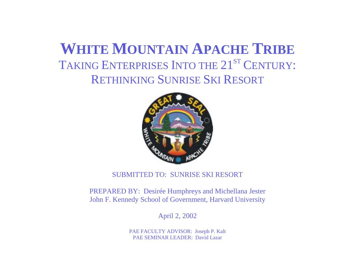# **WHITE MOUNTAIN APACHE TRIBE**TAKING ENTERPRISES INTO THE 21<sup>ST</sup> CENTURY: RETHINKING SUNRISE SKI RESORT



## SUBMITTED TO: SUNRISE SKI RESORT

PREPARED BY: Desirée Humphreys and Michellana Jester John F. Kennedy School of Government, Harvard University

April 2, 2002

PAE FACULTY ADVISOR: Joseph P. Kalt PAE SEMINAR LEADER: David Lazar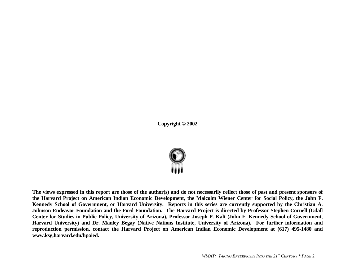**Copyright © 2002** 



**The views expressed in this report are those of the author(s) and do not necessarily reflect those of past and present sponsors of the Harvard Project on American Indian Economic Development, the Malcolm Wiener Center for Social Policy, the John F. Kennedy School of Government, or Harvard University. Reports in this series are currently supported by the Christian A. Johnson Endeavor Foundation and the Ford Foundation. The Harvard Project is directed by Professor Stephen Cornell (Udall Center for Studies in Public Policy, University of Arizona), Professor Joseph P. Kalt (John F. Kennedy School of Government, Harvard University) and Dr. Manley Begay (Native Nations Institute, University of Arizona). For further information and reproduction permission, contact the Harvard Project on American Indian Economic Development at (617) 495-1480 and www.ksg.harvard.edu/hpaied.**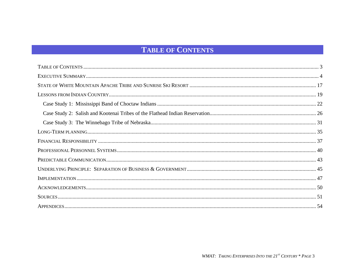## **TABLE OF CONTENTS**

<span id="page-2-0"></span>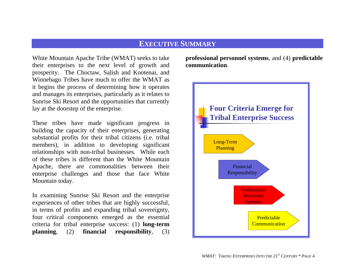### **EXECUTIVE SUMMARY**

<span id="page-3-0"></span>White Mountain Apache Tribe (WMAT) seeks to take their enterprises to the next level of growth and prosperity. The Choctaw, Salish and Kootenai, and Winnebago Tribes have much to offer the WMAT as it begins the process of determining how it operates and manages its enterprises, particularly as it relates to Sunrise Ski Resort and the opportunities that currently lay at the doorstep of the enterprise.

These tribes have made significant progress in building the capacity of their enterprises, generating substantial profits for their tribal citizens (i.e. tribal members), in addition to developing significant relationships with non-tribal businesses. While each of these tribes is different than the White Mountain Apache, there are commonalities between their enterprise challenges and those that face White Mountain today.

In examining Sunrise Ski Resort and the enterprise experiences of other tribes that are highly successful, in terms of profits and expanding tribal sovereignty, four critical components emerged as the essential criteria for tribal enterprise success: (1) **long-term planning**, (2) **financial responsibility**, (3)

**professional personnel systems**, and (4) **predictable communication**.

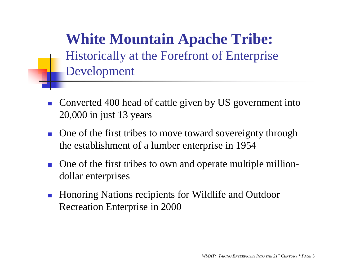# **White Mountain Apache Tribe:** Historicall y a t the Forefront of Enterprise Develop men t

- !• Converted 400 head of cattle given by US government into 20,000 in just 13 years
- !• One of the first tribes to move toward sovereignty through the establishment of a lumber enterprise in 1954
- !• One of the first tribes to own and operate multiple milliondollar enterprises
- !■ Honoring Nations recipients for Wildlife and Outdoor Recre a t ion Enterpr ise in 2000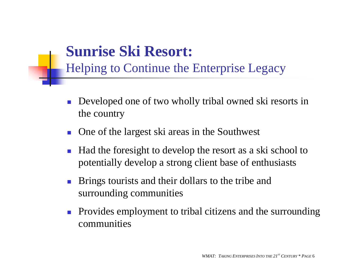# **Sunrise Ski Resort:**

Helping to Continue the Enterprise Legacy

- ! Developed one of two wholly tribal owned ski resorts in the country
- !One of the largest ski areas in the Southwest
- ! Had the foresight to develop the resort as a ski school to potentially develop a strong client base of enthusiasts
- ! Brings tourists and their dollars to the tribe and surrounding communities
- ! Provides employment to tribal citizens and the surrounding communities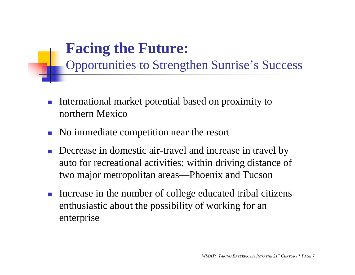Opportunities to Str engthen Sunrise's Success

- ||<br>|-I nternation al market potential bas ed on proximity to northern Mexico
- !No immediate competition near the resort
- !Decrease in domestic air-travel and increase in travel by auto for recreational activities; within driving distance of two major metropolit a n areas—Phoenix and Tucson
- !Increase in the number of college educated tribal citizens e nthusiastic about the possibility o f working for an enterprise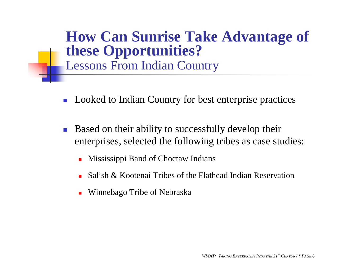**How Can Sunrise Take Advantage of these Opportunities?** Lessons From Indian Country

- **I.** Looked to Indian Country for best enterprise practices
- ! Based on their ability to successfully develop their enterprises, selected the following tribes as case studies:
	- **K** Mississippi Band of Choctaw Indians
	- Salish & Kootenai Tribes of the Flathead Indian Reservation
	- Winnebago Tribe of Nebraska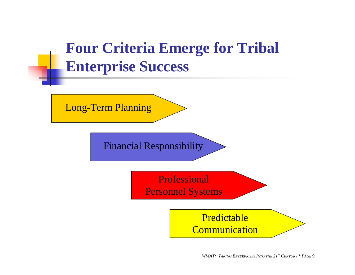# **Four Criteria Emerge for Triba l Enterprise Success**

L o n g-Term P lann ing

F inancial R esponsibility

Professional P ersonnel S ystems

> Predict able Communication

> > *WMAT: TAKING ENTERPRISES INTO THE 21ST CENTURY \* PAGE* 9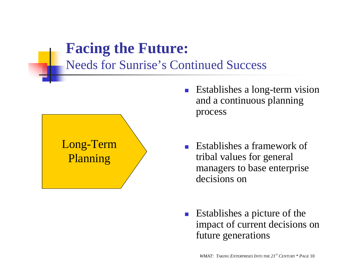

- !■ Establishes a long-term vision and a continuous planning process
- !■ Establishes a framework of triba l v alues fo r g eneral manag ers to base ent erpris e decisions on
- **Example 1** Establishes a picture of the impa ct of current de c isions on future g enerations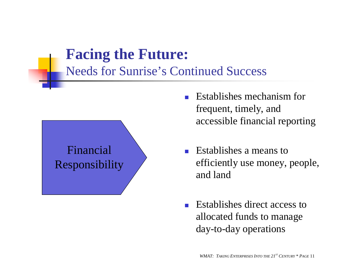

- **Exablishes mechanism for** frequent, timely, and accessible financial reporting
- ! Establishes a means to efficie ntly use mone y, people, and land
- **Example 1** Establishes direct access to allocated funds to man a g e da y -to-da y operations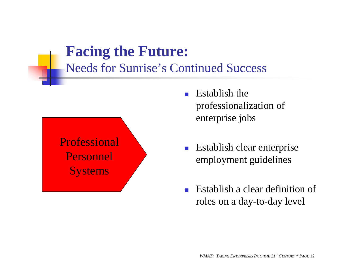

- $\blacksquare$  Establish the professionalization o f enterpr ise jobs
- !• Establish clear enterprise employment g uidelines
- ! Establish a clear definition of roles on a day -to-da y lev e l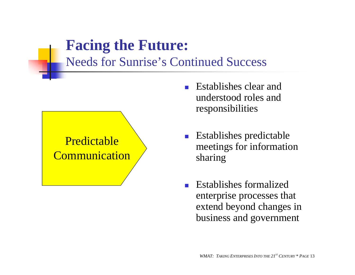

- **Exablishes clear and** understood roles and responsibilities
- !■ Establishes predictable meeting s for in formation sharing
- **1999**  Establishes formalized enterprise processes that extend b e yond c hang es in business and g o v ernment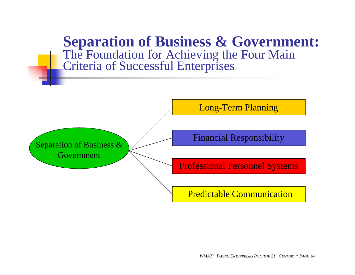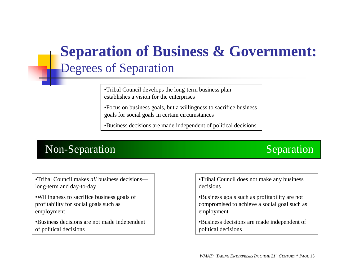# **Separation of Business & Government:**  Degrees of Separation

•Tribal Council develops the long-term business plan—<br>establishes a vision for the enterprises establishes a vision for the enterprises

•Focus on business goals, but a willingness to sacrifice business goals for social goals in certain circumstances

•Business decisions are made independent of political decisions

# Non-Separation

# Separation

•Tribal Council makes *all* business decisionslong-term and day-to-day

•Willingness to sacrifice business goals of profitability for social goals such as employment

•Business decisions are not made independent of political decisions

•Tribal Council does not make any business decisions

•Business goals such as profitability are not compromised to achieve a social goal such as employment

•Business decisions are made independent of political decisions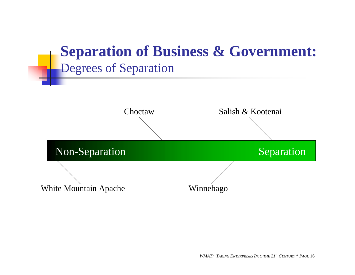# **Separation of Business & Government:**  Degrees of Separation



*WMAT: TAKING ENTERPRISES INTO THE 21ST CENTURY \* PAGE* 16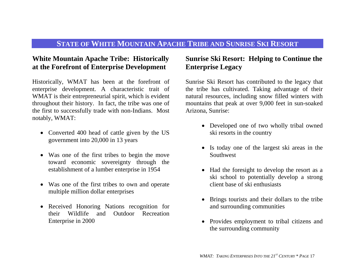## **STATE OF WHITE MOUNTAIN APACHE TRIBE AND SUNRISE SKI RESORT**

## <span id="page-16-0"></span>**White Mountain Apache Tribe: Historically at the Forefront of Enterprise Development**

Historically, WMAT has been at the forefront of enterprise development. A characteristic trait of WMAT is their entrepreneurial spirit, which is evident throughout their history. In fact, the tribe was one of the first to successfully trade with non-Indians. Most notably, WMAT:

- Converted 400 head of cattle given by the US government into 20,000 in 13 years
- Was one of the first tribes to begin the move toward economic sovereignty through the establishment of a lumber enterprise in 1954
- Was one of the first tribes to own and operate multiple million dollar enterprises
- Received Honoring Nations recognition for their Wildlife and Outdoor Recreation Enterprise in 2000

## **Sunrise Ski Resort: Helping to Continue the Enterprise Legacy**

Sunrise Ski Resort has contributed to the legacy that the tribe has cultivated. Taking advantage of their natural resources, including snow filled winters with mountains that peak at over 9,000 feet in sun-soaked Arizona, Sunrise:

- Developed one of two wholly tribal owned ski resorts in the country
- Is today one of the largest ski areas in the Southwest
- Had the foresight to develop the resort as a ski school to potentially develop a strong client base of ski enthusiasts
- Brings tourists and their dollars to the tribe and surrounding communities
- Provides employment to tribal citizens and the surrounding community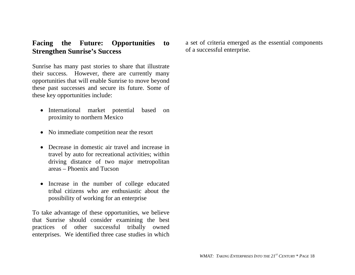## **Facing the Future: Opportunities to Strengthen Sunrise's Success**

Sunrise has many past stories to share that illustrate their success. However, there are currently many opportunities that will enable Sunrise to move beyond these past successes and secure its future. Som e of these key opportunities include:

- International market potential based on proximity to northern Mexico
- No immediate competition near the resort
- Decrease in domestic air travel and increase in travel by auto for recreational activities; within driving distance of two m ajor m etropolitan areas – Phoenix and Tucson
- Increase in the number of college educated tribal citizens who are enthusiastic about the possibility of working for an enterprise

To take advantage of these opportunities, we believe that Sunrise should consider examining the best practices of other successful tribally owned enterprises. We identified three case studies in which a set of criteria emerged as the essential components of a successful enterprise.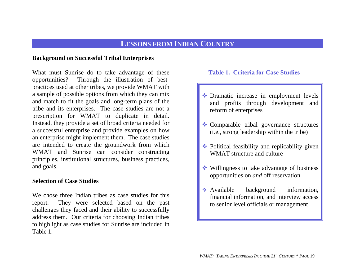### **LESSONS FROM INDIAN COUNTRY**

#### <span id="page-18-0"></span>**Background on Successful Tribal Enterprises**

What must Sunrise do to take advantage of these opportunities? Through the illustration of bestpractices used at other tribes, we provide WMAT with a sample of possible options from which they can mix and match to fit the goals and long-term plans of the tribe and its enterprises. The case studies are not a prescription for WMAT to duplicate in detail. Instead, they provide a set of broad criteria needed for a successful enterprise and provide examples on how an enterprise might implement them. The case studies are intended to create the groundwork from which WMAT and Sunrise can consider constructing principles, institutional structures, business practices, and goals.

#### **Selection of Case Studies**

We chose three Indian tribes as case studies for this report. They were selected based on the past challenges they faced and their ability to successfully address them. Our criteria for choosing Indian tribes to highlight as case studies for Sunrise are included in Table 1.

#### **Table 1. Criteria for Case Studies**

- \* Dramatic increase in employment levels and profits through development and reform of enterprises
- "Comparable tribal governance structures (i.e., strong leadership within the tribe)
- Political feasibility and replicability given WMAT structure and culture
- **\*** Willingness to take advantage of business opportunities on *and* off reservation
- $\leftrightarrow$  Available background information, financial information, and interview access to senior level officials or management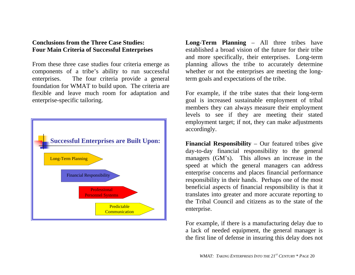#### **Conclusions from the Three Case Studies: Four Main Criteria of Successful Enterprises**

From these three case studies four criteria emerge as components of a tribe's ability to run successful enterprises. The four criteria provide a general foundation for WMAT to build upon. The criteria are flexible and leave much room for adaptation and enterprise-specific tailoring.



**Long-Term Planning** – All three tribes have established a broad vision of the future for their tribe and more specifically, their enterprises. Long-term planning allows the tribe to accurately determine whether or not the enterprises are meeting the longterm goals and expectations of the tribe.

For example, if the tribe states that their long-term goal is increased sustainable employment of tribal members they can always measure their employment levels to see if they are meeting their stated employment target; if not, they can make adjustments accordingly.

**Financial Responsibility** – Our featured tribes give day-to-day financial responsibility to the general managers (GM's). This allows an increase in the speed at which the general managers can address enterprise concerns and places financial performance responsibility in their hands. Perhaps one of the most beneficial aspects of financial responsibility is that it translates into greater and more accurate reporting to the Tribal Council and citizens as to the state of the enterprise.

For example, if there is a manufacturing delay due to a lack of needed equipment, the general manager is the first line of defense in insuring this delay does not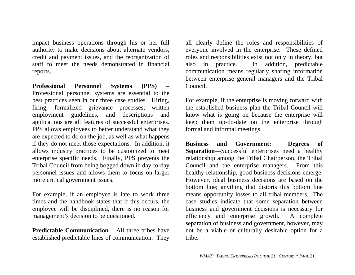impact business operations through his or her full authority to make decisions about alternate vendors, credit and payment issues, and the reorganization of staff to meet the needs demonstrated in financial reports.

**Professional Personnel Systems (PPS)** – Professional personnel systems are essential to the best practices seen in our three case studies. Hiring, firing, formalized grievance processes, written employment guidelines, and descriptions and applications are all features of successful enterprises. PPS allows employees to better understand what they are expected to do on the job, as well as what happens if they do not meet those expectations. In addition, it allows industry practices to be customized to meet enterprise specific needs. Finally, PPS prevents the Tribal Council from being bogged down in day-to-day personnel issues and allows them to focus on larger more critical government issues.

For example, if an employee is late to work three times and the handbook states that if this occurs, the employee will be disciplined, there is no reason for managemen<sup>t</sup>'s decision to be questioned.

**Predictable Communication – All three tribes have** established predictable lines of communication. They all clearly define the roles and responsibilities of everyone involved in the enterprise. These defined roles and responsibilities exist not only in theory, but also in practice. In addition, predictable communication means regularly sharing information between enterprise general managers and the Tribal Council.

For example, if the enterprise is moving forward with the established business plan the Tribal Council will know what is going on because the enterprise will keep them up-do-date on the enterprise through formal and informal meetings.

**Business and Government: Degrees of Separation**—Successful enterprises need a healthy relationship among the Tribal Chairperson, the Tribal Council and the enterprise managers. From this healthy relationship, good business decisions emerge. However, ideal business decisions are based on the bottom line; anything that distorts this bottom line means opportunity losses to all tribal members. The case studies indicate that some separation between business and government decisions is necessary for efficiency and enterprise growth. A complete separation of business and government, however, may not be a viable or culturally desirable option for a tribe.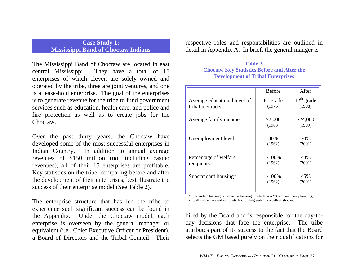#### <span id="page-21-0"></span>**Case Study 1: Mississippi Band of Choctaw Indians**

The Mississippi Band of Choctaw are located in east central Mississippi. They have a total of 15 enterprises of which eleven are solely owned and operated by the tribe, three are joint ventures, and one is a lease-hold enterprise. The goal of the enterprises is to generate revenue for the tribe to fund government services such as education, health care, and police and fire protection as well as to create jobs for the Choctaw.

Over the past thirty years, the Choctaw have developed some of the most successful enterprises in Indian Country. In addition to annual average revenues of \$150 million (not including casino revenues), all of their 15 enterprises are profitable. Key statistics on the tribe, comparing before and after the development of their enterprises, best illustrate the success of their enterprise model (See Table 2).

The enterprise structure that has led the tribe to experience such significant success can be found in the Appendix. Under the Choctaw model, each enterprise is overseen by the general manager or equivalent (i.e., Chief Executive Officer or President), a Board of Directors and the Tribal Council. Their respective roles and responsibilities are outlined in detail in Appendix A. In brief, the general manger is

#### **Table 2. Choctaw Key Statistics Before and After the Development of Tribal Enterprises**

|                                                | <b>Before</b>         | After                                |
|------------------------------------------------|-----------------------|--------------------------------------|
| Average educational level of<br>tribal members | $6th$ grade<br>(1975) | $\overline{12}^{th}$ grade<br>(1998) |
| Average family income                          | \$2,000<br>(1963)     | \$24,000<br>(1999)                   |
| Unemployment level                             | 30%<br>(1962)         | $\sim 0\%$<br>(2001)                 |
| Percentage of welfare<br>recipients            | $~100\%$<br>(1962)    | $<3\%$<br>(2001)                     |
| Substandard housing*                           | $~100\%$<br>(1962)    | ${<}5\%$<br>(2001)                   |

\*Substandard housing is defined as housing in which over 90% do not have plumbing, virtually none have indoor toilets, hot running water, or a bath or shower.

hired by the Board and is responsible for the day-today decisions that face the enterprise. The tribe attributes part of its success to the fact that the Board selects the GM based purely on their qualifications for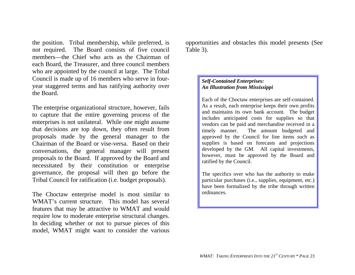the position. Tribal membership, while preferred, is not required. The Board consists of five council members—the Chief who acts as the Chairman of each Board, the Treasurer, and three council members who are appointed by the council at large. The Tribal Council is made up of 16 members who serve in fouryear staggered terms and has ratifying authority over the Board.

The enterprise organizational structure, however, fails to capture that the entire governing process of the enterprises is not unilateral. While one might assume that decisions are top down, they often result from proposals made by the general manager to the Chairman of the Board or vise-versa. Based on their conversations, the general manager will present proposals to the Board. If approved by the Board and necessitated by their constitution or enterprise governance, the proposal will then go before the Tribal Council for ratification (i.e. budget proposals).

The Choctaw enterprise model is most similar to WMAT's current structure. This model has several features that may be attractive to WMAT and would require low to moderate enterprise structural changes. In deciding whether or not to pursue pieces of this model, WMAT might want to consider the various

opportunities and obstacles this model presents (See Table 3).

#### *Self-Contained Enterprises: An Illustration from Mississippi*

Each of the Choctaw enterprises are self-contained. As a result, each enterprise keeps their own profits and maintains its own bank account. The budget includes anticipated costs for supplies so that vendors can be paid and merchandise received in a timely manner. The amount budgeted and approved by the Council for line items such as supplies is based on forecasts and projections developed by the GM. All capital investments, however, must be approved by the Board and ratified by the Council.

The specifics over who has the authority to make particular purchases (i.e., supplies, equipment, etc.) have been formalized by the tribe through written ordinances.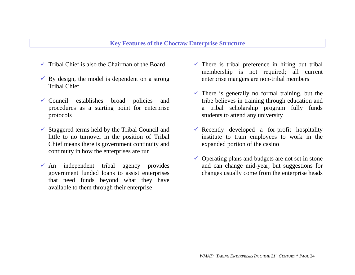#### **Key Features of the Choctaw Enterprise Structure**

- $\checkmark$  Tribal Chief is also the Chairman of the Board
- $\checkmark$  By design, the model is dependent on a strong Tribal Chief
- $\checkmark$  Council establishes broad policies and procedures as a starting point for enterprise protocols
- $\checkmark$  Staggered terms held by the Tribal Council and little to no turnover in the position of Tribal Chief means there is government continuity and continuity in how the enterprises are run
- $\sqrt{A}$ n independent tribal agency provides government funded loans to assist enterprises that need funds beyond what they have available to them through their enterprise
- $\checkmark$  There is tribal preference in hiring but tribal membership is not required; all current enterprise mangers are non-tribal members
- $\checkmark$  There is generally no formal training, but the tribe believes in training through education and a tribal scholarship program fully funds students to attend any university
- $\checkmark$  Recently developed a for-profit hospitality institute to train employees to work in the expanded portion of the casino
- $\checkmark$  Operating plans and budgets are not set in stone and can change mid-year, but suggestions for changes usually come from the enterprise heads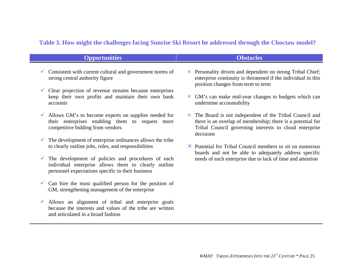### **Table 3. How might the challenges facing Sunrise Ski Resort be addressed through the Choctaw model?**

| <b>Opportunities</b>                                                                                                                                                         | <b>Obstacles</b>                                                                                                                                                                                      |
|------------------------------------------------------------------------------------------------------------------------------------------------------------------------------|-------------------------------------------------------------------------------------------------------------------------------------------------------------------------------------------------------|
| $\checkmark$ Consistent with current cultural and government norms of<br>strong central authority figure                                                                     | $\times$ Personality driven and dependent on strong Tribal Chief;<br>enterprise continuity is threatened if the individual in this<br>position changes from term to term                              |
| $\checkmark$ Clear projection of revenue streams because enterprises<br>keep their own profits and maintain their own bank<br>accounts                                       | $\times$ GM's can make mid-year changes to budgets which can<br>undermine accountability                                                                                                              |
| $\checkmark$ Allows GM's to become experts on supplies needed for<br>their enterprises enabling them to request more<br>competitive bidding from vendors                     | $\times$ The Board is not independent of the Tribal Council and<br>there is an overlap of membership; there is a potential for<br>Tribal Council governing interests to cloud enterprise<br>decisions |
| $\checkmark$ The development of enterprise ordinances allows the tribe<br>to clearly outline jobs, roles, and responsibilities                                               | $\times$ Potential for Tribal Council members to sit on numerous<br>boards and not be able to adequately address specific                                                                             |
| $\checkmark$ The development of policies and procedures of each<br>individual enterprise allows them to clearly outline<br>personnel expectations specific to their business | needs of each enterprise due to lack of time and attention                                                                                                                                            |

 $\checkmark$  Can hire the most qualified person for the position of

GM, strengthening management of the enterprise

and articulated in a broad fashion

 $\checkmark$  Allows an alignment of tribal and enterprise goals

because the interests and values of the tribe are written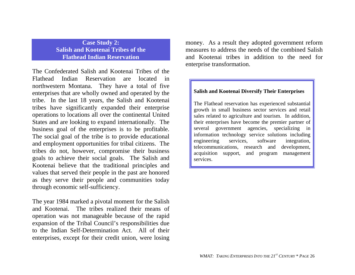#### <span id="page-25-0"></span>**Case Study 2: Salish and Kootenai Tribes of the Flathead Indian Reservation**

The Confederated Salish and Kootenai Tribes of the Flathead Indian Reservation are located in northwestern Montana. They have a total of five enterprises that are wholly owned and operated by the tribe. In the last 18 years, the Salish and Kootenai tribes have significantly expanded their enterprise operations to locations all over the continental United States and are looking to expand internationally. The business goal of the enterprises is to be profitable. The social goal of the tribe is to provide educational and employment opportunities for tribal citizens. The tribes do not, however, compromise their business goals to achieve their social goals. The Salish and Kootenai believe that the traditional principles and values that served their people in the past are honored as they serve their people and communities today through economic self-sufficiency.

The year 1984 marked a pivotal moment for the Salish and Kootenai. The tribes realized their means of operation was not manageable because of the rapid expansion of the Tribal Council's responsibilities due to the Indian Self-Determination Act. All of their enterprises, except for their credit union, were losing

money. As a result they adopted government reform measures to address the needs of the combined Salish and Kootenai tribes in addition to the need for enterprise transformation.

#### **Salish and Kootenai Diversify Their Enterprises**

The Flathead reservation has experienced substantial growth in small business sector services and retail sales related to agriculture and tourism. In addition, their enterprises have become the premier partner of several government agencies, specializing in information technology service solutions including engineering services, software integration, telecommunications, research and development, acquisition support, and program management services.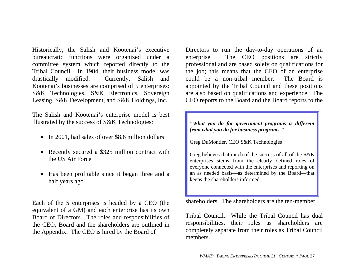Historically, the Salish and Kootenai's executive bureaucratic functions were organized under a com mittee system which reported directly to the Tribal Council. In 1984, their business model was drastically modified. Currently, Salish and Kootenai's businesses are co m prised of 5 enterprises: S&K Technologies, S&K Electronics, Sovereign Leasing, S&K Development, and S&K Holdings, Inc.

The Salish and Kootenai's enterprise model is best illustrated by the success of S&K Technologies:

- In 2001, had sales of over \$8.6 million dollars
- Recently secured a \$325 million contract with the US Air Force
- Has been profitable since it began three and a half years ago

Each of the 5 enterprises is headed by a CEO (the equivalent of a GM) and each enterprise has its own Board of Directors. The roles and responsibilities of the CEO, Board and the shareholders are outlined in the Appendix. The CEO is hired by the Board of

Directors to run the day-to-day operations of an enterprise. The CEO positions are strictly professional and are based solely on qualifications for the job; this means that the CEO of an enterprise could be a non-tribal memThe Board is appointed by the Tribal Council and these positions are also based on qualifications and experience. The CEO reports to the Board and the Board reports to the

*"What you do for government pro grams is different from what you do for business pro grams."* 

Greg DuMontier, CEO S&K Technologies

Greg believes that m uch of the success of all of the S&Kenterprises stems from the clearly defined roles of everyone connected with the enterprises and reporting on an as needed basis—as determined by the Board—that keeps the shareholders inform e d.

shareholders. The shareholders are the ten-member

Tribal Council. While the Tribal Council has dual responsibilities, their roles as shareholders are completely se p ar atefr om their roles as Tribal Council members.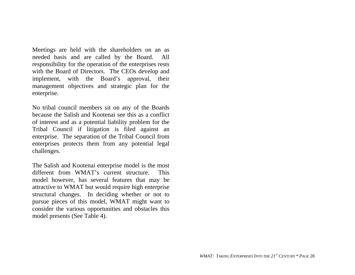Meetings are held with the shareholders on an as needed basis and are called by the Board. All responsibility for the operation of the enterprises rests with the Board of Directors. The CEOs develop and implement, with the Board's approval, their managemen<sup>t</sup> objectives and strategic plan for the enterprise.

No tribal council members sit on any of the Boards because the Salish and Kootenai see this as a conflict of interest and as a potential liability problem for the Tribal Council if litigation is filed against an enterprise. The separation of the Tribal Council from enterprises protects them from any potential legal challenges.

The Salish and Kootenai enterprise model is the most different from WMAT's current structure. This model however, has several features that may be attractive to WMAT but would require high enterprise structural changes. In deciding whether or not to pursue pieces of this model, WMAT might want to consider the various opportunities and obstacles this model presents (See Table 4).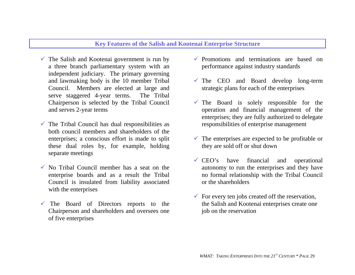#### **Key Features of the Salish and Kootenai Enterprise Structure**

- $\checkmark$  The Salish and Kootenai government is run by a three branch parliamentary system with an independent judiciary. The primary governing and lawmaking body is the 10 m e m ber Tribal Council. Members are elected at large and serve staggered 4-year terms. The Tribal Chairperson is selected by the Tribal Council and serves 2-year terms
- $\checkmark$  The Tribal Council has dual responsibilities as both council members and shareholders of the enterprises; a conscious effort is m ade to split these dual roles by, for example, holding separate meetings
- $\checkmark$  No Tribal Council member has a seat on the enterprise boards and as a result the Tribal Council is insulated from liability associated with the enterprises
- $\checkmark$  The Board of Directors reports to the Chairperson and shareholders and oversees one of five enterprises
- $\checkmark$  Promotions and terminations are based on performance against industry standards
- $\checkmark$  The CEO and Board develop long-term strategic plans for each of the enterprises
- $\checkmark$  The Board is solely responsible for the operation and financial managem ent of the enterprises; they are fully authorized to delegate responsibilities of enterprise m anagem ent
- $\checkmark$  The enterprises are expected to be profitable or they are sold off or shut down
- $\checkmark$  CEO's have financial and operational autonomy to run the enterprises and they have no formal relationship with the Tribal Council or the shareholders
- $\checkmark$  For every ten jobs created off the reservation, the Salish and Kootenai enterprises create one job on the reservation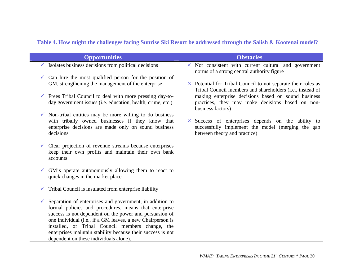### **Table 4. How might the challenges facing Sunrise Ski Resort be addressed through the Salish & Kootenai model?**

|              | <b>Opportunities</b>                                                                                                                                                                                                                                                                                                                                                                                    | <b>Obstacles</b>                                                                                                                               |
|--------------|---------------------------------------------------------------------------------------------------------------------------------------------------------------------------------------------------------------------------------------------------------------------------------------------------------------------------------------------------------------------------------------------------------|------------------------------------------------------------------------------------------------------------------------------------------------|
|              | $\checkmark$ Isolates business decisions from political decisions                                                                                                                                                                                                                                                                                                                                       | $\times$ Not consistent with current cultural and government<br>norms of a strong central authority figure                                     |
| $\checkmark$ | Can hire the most qualified person for the position of                                                                                                                                                                                                                                                                                                                                                  |                                                                                                                                                |
|              | GM, strengthening the management of the enterprise                                                                                                                                                                                                                                                                                                                                                      | $\times$ Potential for Tribal Council to not separate their roles as<br>Tribal Council members and shareholders (i.e., instead of              |
| $\checkmark$ | Frees Tribal Council to deal with more pressing day-to-<br>day government issues (i.e. education, health, crime, etc.)                                                                                                                                                                                                                                                                                  | making enterprise decisions based on sound business<br>practices, they may make decisions based on non-<br>business factors)                   |
| $\checkmark$ | Non-tribal entities may be more willing to do business                                                                                                                                                                                                                                                                                                                                                  |                                                                                                                                                |
|              | with tribally owned businesses if they know that<br>enterprise decisions are made only on sound business<br>decisions                                                                                                                                                                                                                                                                                   | $\times$ Success of enterprises depends on the ability to<br>successfully implement the model (merging the gap<br>between theory and practice) |
| V            | Clear projection of revenue streams because enterprises<br>keep their own profits and maintain their own bank<br>accounts                                                                                                                                                                                                                                                                               |                                                                                                                                                |
| V            | GM's operate autonomously allowing them to react to<br>quick changes in the market place                                                                                                                                                                                                                                                                                                                |                                                                                                                                                |
| ✓            | Tribal Council is insulated from enterprise liability                                                                                                                                                                                                                                                                                                                                                   |                                                                                                                                                |
| $\checkmark$ | Separation of enterprises and government, in addition to<br>formal policies and procedures, means that enterprise<br>success is not dependent on the power and persuasion of<br>one individual (i.e., if a GM leaves, a new Chairperson is<br>installed, or Tribal Council members change, the<br>enterprises maintain stability because their success is not<br>dependent on these individuals alone). |                                                                                                                                                |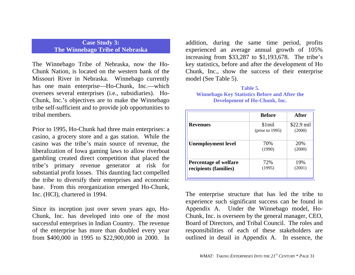#### <span id="page-30-0"></span>**Case Study 3: The Winnebago Tribe of Nebraska**

The Winnebago Tribe of Nebraska, now the Ho-Chunk Nation, is located on the western bank of the Missouri River in Nebraska. Winnebago currently has one main enterprise—Ho-Chunk, Inc.—which oversees several enterprises (i.e., subsidiaries). Ho-Chunk, Inc.'s objectives are to make the Winnebago tribe self-sufficient and to provide job opportunities to tribal members.

Prior to 1995, Ho-Chunk had three main enterprises: a casino, a grocery store and a gas station. While the casino was the tribe's main source of revenue, the liberalization of Iowa gaming laws to allow riverboat gambling created direct competition that placed the tribe's primary revenue generator at risk for substantial profit losses. This daunting fact compelled the tribe to diversify their enterprises and economic base. From this reorganization emerged Ho-Chunk, Inc. (HCI), chartered in 1994.

Since its inception just over seven years ago, Ho-Chunk, Inc. has developed into one of the most successful enterprises in Indian Country. The revenue of the enterprise has more than doubled every year from \$400,000 in 1995 to \$22,900,000 in 2000. In

addition, during the same time period, profits experienced an average annual growth of 105% increasing from \$33,287 to \$1,193,678. The tribe's key statistics, before and after the development of Ho Chunk, Inc., show the success of their enterprise model (See Table 5).

#### **Table 5. Winnebago Key Statistics Before and After the Development of Ho-Chunk, Inc.**

|                                                       | <b>Before</b>                | <b>After</b>         |
|-------------------------------------------------------|------------------------------|----------------------|
| <b>Revenues</b>                                       | \$1mil<br>(prior to $1995$ ) | \$22.9 mil<br>(2000) |
| <b>Unemployment level</b>                             | 70%<br>(1990)                | 20%<br>(2000)        |
| <b>Percentage of welfare</b><br>recipients (families) | 72%<br>(1995)                | 19%<br>(2001)        |

The enterprise structure that has led the tribe to experience such significant success can be found in Appendix A. Under the Winnebago model, Ho-Chunk, Inc. is overseen by the general manager, CEO, Board of Directors, and Tribal Council. The roles and responsibilities of each of these stakeholders are outlined in detail in Appendix A. In essence, the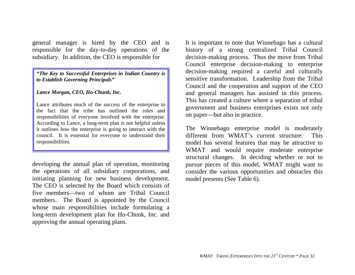general manager is hired by the CEO and is responsible for the day-to-day operations of the subsidiary. In addition, the CEO is responsible for

#### *"The Key to Successful Enterprises in Indian Country is to Establish Governing Principals"*

#### *Lance Morgan, CEO, Ho-Chunk, Inc.*

Lance attributes much of the success of the enterprise to the fact that the tribe has outlined the roles andresponsibilities of everyone involved with the enterprise. According to Lance, a long-term plan is not helpful unless it outlines *how* the enterprise is going to interact with the council. It is essential for everyone to understand their responsibilities.

developing the annual plan of operation, monitoring the operations of all subsidiary corporations, and initiating planning for new business development. The CEO is selected by the Board which consists of five members—two of whom are Tribal Council members. The Board is appointed by the Council whose main responsibilities include formulating <sup>a</sup> long-term development plan for Ho-Chunk, Inc. and approving the annual operating plans.

It is important to note that Winnebago has a cultural history of a strong centralized Tribal Council decision-making process. Thus the move from Tribal Council enterprise decision-making to enterprise decision-making required <sup>a</sup> careful and culturally sensitive transformation. Leadership from the Tribal Council and the cooperation and support of the CEO and general managers has assisted in this process. This has created a culture where <sup>a</sup> separation of tribal governme nt and business enterprises exists not only on paper—but also in practice.

model presents (See Table 6). The Winnebago enterprise model is moderately different from WMAT's current structure. This model has several features that may be attractive to WMAT and would require moderate enterprise structural changes. In deciding whether or not to pursue pieces of this model, WMAT might want to consider the various opportunities and obstacles this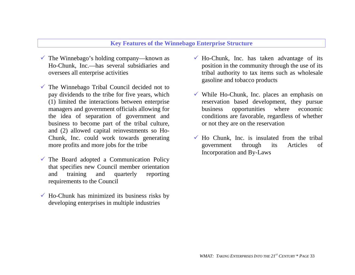#### **Key Features of the Winnebago Enterprise Structure**

- $\checkmark$  The Winnebago's holding company—known as Ho-Chunk, Inc.—has several subsidiaries and oversees all enterprise activities
- $\checkmark$  The Winnebago Tribal Council decided not to pay dividends to the tribe for five years, which (1) limited the interactions between enterprise m anagers and governm ent officials allowing for the idea of separation of governm ent and business to becom e part of the tribal culture, and (2) allowed capital reinvestm ents so Ho-Chunk, Inc. could work towards generating more profits and m ore jobs for the tribe
- $\checkmark$  The Board adopted a Communication Policy that specifies new Council m e m ber orientation and training and quarterly reporting requirem ents to the Council
- $\checkmark$  Ho-Chunk has minimized its business risks by developing enterprises in m ultiple industries
- $\checkmark$  Ho-Chunk, Inc. has taken advantage of its position in the com munity through the use of its tribal authority to tax items such as wholesale gasoline and tobacco products
- $\checkmark$  While Ho-Chunk, Inc. places an emphasis on reservation based development, they pursue business opportunities where economic conditions are favorable, regardless of whether or not they are on the reservation
- $\checkmark$  Ho Chunk, Inc. is insulated from the tribal governm through its Articles of Incorporation and By-Laws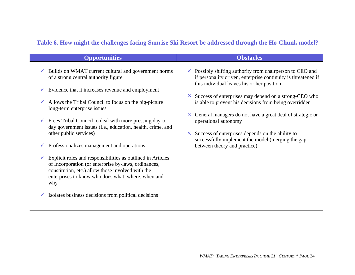### **Table 6. How might the challenges facing Sunrise Ski Resort be addressed through the Ho-Chunk model?**

|              | <b>Opportunities</b>                                                                                                               | <b>Obstacles</b>                                                                                                                                                             |  |
|--------------|------------------------------------------------------------------------------------------------------------------------------------|------------------------------------------------------------------------------------------------------------------------------------------------------------------------------|--|
|              | $\checkmark$ Builds on WMAT current cultural and government norms<br>of a strong central authority figure                          | Possibly shifting authority from chairperson to CEO and<br>×.<br>if personality driven, enterprise continuity is threatened if<br>this individual leaves his or her position |  |
| V.           | Evidence that it increases revenue and employment                                                                                  |                                                                                                                                                                              |  |
| $\checkmark$ | Allows the Tribal Council to focus on the big-picture<br>long-term enterprise issues                                               | $\times$ Success of enterprises may depend on a strong-CEO who<br>is able to prevent his decisions from being overridden                                                     |  |
|              | $\checkmark$ Frees Tribal Council to deal with more pressing day-to-<br>day government issues (i.e., education, health, crime, and | General managers do not have a great deal of strategic or<br>×.<br>operational autonomy                                                                                      |  |
|              | other public services)                                                                                                             | Success of enterprises depends on the ability to<br>X.<br>successfully implement the model (merging the gap                                                                  |  |
| V.           | Professionalizes management and operations                                                                                         | between theory and practice)                                                                                                                                                 |  |
| V.           | Explicit roles and responsibilities as outlined in Articles<br>of Incorporation (or enterprise by-laws, ordinances,                |                                                                                                                                                                              |  |

 $\checkmark$  Isolates business decisions from political decisions

constitution, etc.) allow those involved with the

why

enterprises to know who does what, where, when and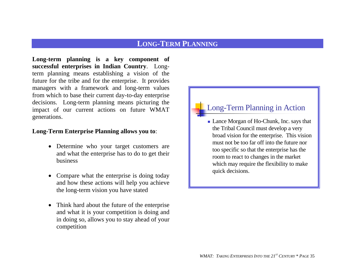### **LONG-TERM PLANNING**

<span id="page-34-0"></span>**Long-term planning is a key component of successful enterprises in Indian Country**. Longterm planning means establishing a vision of the future for the tribe and for the enterprise. It provides managers with a framework and long-term values from which to base their current day-to-day enterprise decisions. Long-term planning means picturing the impact of our current actions on future WMAT generations.

#### **Long-Term Enterprise Planning allows you to**:

- Determine who your target customers are and what the enterprise has to do to get their business
- Compare what the enterprise is doing today and how these actions will help you achieve the long-term vision you have stated
- Think hard about the future of the enterprise and what it is your competition is doing and in doing so, allows you to stay ahead of your competition

## Long-Term Planning in Action

■ Lance Morgan of Ho-Chunk, Inc. says that the Tribal Council must develop a very broad vision for the enterprise. This vision must not be too far off into the future nortoo specific so that the enterprise has the room to react to changes in the market which may require the flexibility to make quick decisions.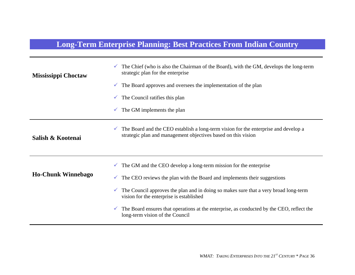# **Long-Term Enterprise Planning: Best Practices From Indian Country**

| <b>Mississippi Choctaw</b> | V                            | The Chief (who is also the Chairman of the Board), with the GM, develops the long-term<br>strategic plan for the enterprise                                                                                  |
|----------------------------|------------------------------|--------------------------------------------------------------------------------------------------------------------------------------------------------------------------------------------------------------|
|                            | V.                           | The Board approves and oversees the implementation of the plan                                                                                                                                               |
|                            | v.                           | The Council ratifies this plan                                                                                                                                                                               |
|                            | V.                           | The GM implements the plan                                                                                                                                                                                   |
| Salish & Kootenai          | $\checkmark$                 | The Board and the CEO establish a long-term vision for the enterprise and develop a<br>strategic plan and management objectives based on this vision                                                         |
| <b>Ho-Chunk Winnebago</b>  | $\checkmark$                 | The GM and the CEO develop a long-term mission for the enterprise                                                                                                                                            |
|                            | $\checkmark$<br>$\checkmark$ | The CEO reviews the plan with the Board and implements their suggestions<br>The Council approves the plan and in doing so makes sure that a very broad long-term<br>vision for the enterprise is established |
|                            | V.                           | The Board ensures that operations at the enterprise, as conducted by the CEO, reflect the<br>long-term vision of the Council                                                                                 |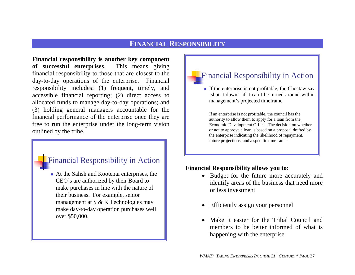### **FINANCIAL RESPONSIBILITY**

<span id="page-36-0"></span>**Financial responsibility is another key component of successful enterprises**. This means giving financial responsibility to those that are closest to the day-to-day operations of the enterprise. Financial responsibility includes: (1) frequent, timely, and accessible financial reporting; (2) direct access to allocated funds to manage day-to-day operations; and (3) holding general managers accountable for the financial performance of the enterprise once they are free to run the enterprise under the long-term vision outlined by the tribe.

## Financial Responsibility in Action

! At the Salish and Kootenai enterprises, the CEO's are authorized by their Board to make purchases in line with the nature of their business. For example, senior management at S & K Technologies may make day-to-day operation purchases well over \$50,000.

# Financial Responsibility in Action

! If the enterprise is not profitable, the Choctaw say 'shut it down!' if it can't be turned around within managemen<sup>t</sup>'s projected timeframe.

If an enterprise is not profitable, the council has the authority to allow them to apply for a loan from the Economic Development Office. The decision on whether or not to approve a loan is based on a proposal drafted by the enterprise indicating the likelihood of repayment, future projections, and a specific timeframe.

#### **Financial Responsibility allows you to**:

- Budget for the future more accurately and identify areas of the business that need more or less investment
- Efficiently assign your personnel
- Make it easier for the Tribal Council and members to be better informed of what is happening with the enterprise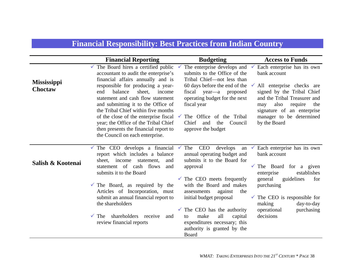# **Financial Responsibility: Best Practices from Indian Country**

|                               | <b>Financial Reporting</b>                                                                                                                                                                                                                                                                                                                                                                                                                                                             | <b>Budgeting</b>                                                                                                                                                                                                                                                                                                                                                                                                     | <b>Access to Funds</b>                                                                                                                                                                                                                                                    |
|-------------------------------|----------------------------------------------------------------------------------------------------------------------------------------------------------------------------------------------------------------------------------------------------------------------------------------------------------------------------------------------------------------------------------------------------------------------------------------------------------------------------------------|----------------------------------------------------------------------------------------------------------------------------------------------------------------------------------------------------------------------------------------------------------------------------------------------------------------------------------------------------------------------------------------------------------------------|---------------------------------------------------------------------------------------------------------------------------------------------------------------------------------------------------------------------------------------------------------------------------|
| <b>Mississippi</b><br>Choctaw | $\checkmark$ The Board hires a certified public<br>accountant to audit the enterprise's<br>financial affairs annually and is<br>responsible for producing a year-<br>balance<br>sheet.<br>end<br>income<br>statement and cash flow statement<br>and submitting it to the Office of<br>the Tribal Chief within five months<br>of the close of the enterprise fiscal<br>year; the Office of the Tribal Chief<br>then presents the financial report to<br>the Council on each enterprise. | The enterprise develops and<br>submits to the Office of the<br>Tribal Chief-not less than<br>60 days before the end of the<br>fiscal year—a proposed<br>operating budget for the next<br>fiscal year<br>The Office of the Tribal<br>Chief<br>and<br>Council<br>the<br>approve the budget                                                                                                                             | Each enterprise has its own<br>bank account<br>All enterprise checks are<br>signed by the Tribal Chief<br>and the Tribal Treasurer and<br>require<br>also<br>the<br>may<br>signature of an enterprise<br>manager to be determined<br>by the Board                         |
| Salish & Kootenai             | The CEO develops a financial<br>report which includes a balance<br>income<br>statement,<br>and<br>sheet.<br>statement of cash flows<br>and<br>submits it to the Board<br>$\checkmark$ The Board, as required by the<br>Articles of Incorporation, must<br>submit an annual financial report to<br>the shareholders<br>shareholders<br>The<br>receive<br>and<br>$\checkmark$<br>review financial reports                                                                                | <b>CEO</b><br>The<br>develops<br>an $\checkmark$<br>annual operating budget and<br>submits it to the Board for<br>approval<br>$\checkmark$ The CEO meets frequently<br>with the Board and makes<br>the<br>assessments<br>against<br>initial budget proposal<br>$\checkmark$ The CEO has the authority<br>all<br>make<br>capital<br>to<br>expenditures necessary; this<br>authority is granted by the<br><b>Board</b> | Each enterprise has its own<br>bank account<br>$\checkmark$ The Board for a given<br>enterprise<br>establishes<br>general<br>guidelines<br>for<br>purchasing<br>$\checkmark$ The CEO is responsible for<br>making<br>day-to-day<br>operational<br>purchasing<br>decisions |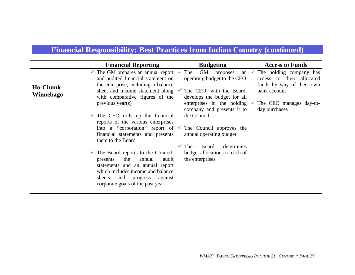## **Financial Responsibility: Best Practices from Indian Country (continued)**

|                  | <b>Financial Reporting</b>                                                                                                                                                                                                               | <b>Budgeting</b>                                                                                     | <b>Access to Funds</b>                                                                         |
|------------------|------------------------------------------------------------------------------------------------------------------------------------------------------------------------------------------------------------------------------------------|------------------------------------------------------------------------------------------------------|------------------------------------------------------------------------------------------------|
| <b>Ho-Chunk</b>  | $\checkmark$ The GM prepares an annual report<br>and audited financial statement on<br>the enterprise, including a balance                                                                                                               | GM proposes<br>The<br>an<br>$\sqrt{ }$<br>operating budget to the CEO                                | $\checkmark$ The holding company has<br>access to their allocated<br>funds by way of their own |
| <b>Winnebago</b> | sheet and income statement along $\checkmark$ The CEO, with the Board,<br>with comparative figures of the<br>$previous\, (s)$                                                                                                            | develops the budget for all<br>enterprises in the holding $\checkmark$<br>company and presents it to | bank account<br>The CEO manages day-to-<br>day purchases                                       |
|                  | $\checkmark$ The CEO rolls up the financial<br>reports of the various enterprises                                                                                                                                                        | the Council                                                                                          |                                                                                                |
|                  | into a "corporation" report of $\checkmark$ The Council approves the<br>financial statements and presents<br>them to the Board                                                                                                           | annual operating budget                                                                              |                                                                                                |
|                  | $\checkmark$ The Board reports to the Council;<br>the<br>audit<br>annual<br>presents<br>statements and an annual report<br>which includes income and balance<br>and<br>sheets<br>progress<br>against<br>corporate goals of the past year | $\checkmark$ The<br>Board<br>determines<br>budget allocations to each of<br>the enterprises          |                                                                                                |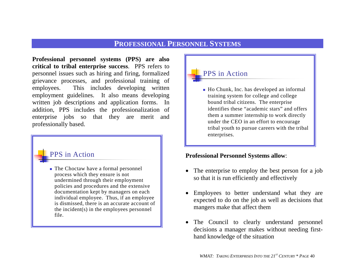### **PROFESSIONAL PERSONNEL SYSTEMS**

<span id="page-39-0"></span>**Professional personnel systems (PPS) are also critical to tribal enterprise success**. PPS refers to personnel issues such as hiring and firing, formalized grievance processes, and professional training of employees. This includes developing written employment guidelines. It also means developing written job descriptions and application forms. In addition, PPS includes the professionalization of enterprise jobs so that they are merit and professionally based.

### PPS in Action

**.** The Choctaw have a formal personnel process which they ensure is not undermined through their employment policies and procedures and the extensive documentation kept by managers on each individual employee. Thus, if an employee is dismissed, there is an accurate account of the incident(s) in the employees personnel file.

## PPS in Action

■ Ho Chunk, Inc. has developed an informal training system for college and college bound tribal citizens. The enterprise identifies these "academic stars" and offers them a summer internship to work directly under the CEO in an effort to encourage tribal youth to pursue careers with the tribal enterprises.

#### **Professional Personnel Systems allow**:

- The enterprise to employ the best person for a job so that it is run efficiently and effectively
- Employees to better understand what they are expected to do on the job as well as decisions that mangers make that affect them
- The Council to clearly understand personnel decisions a manager makes without needing firsthand knowledge of the situation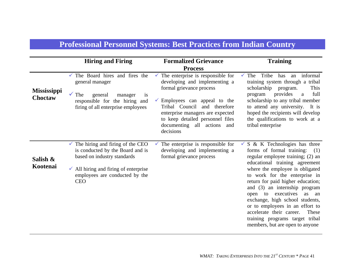# **Professional Personnel Systems: Best Practices from Indian Country**

|                               | <b>Hiring and Firing</b>                                                                                                                                                                         | <b>Formalized Grievance</b><br><b>Process</b>                                                                                                                                                                                                                                        | <b>Training</b>                                                                                                                                                                                                                                                                                                                                                                                                                                                                                      |
|-------------------------------|--------------------------------------------------------------------------------------------------------------------------------------------------------------------------------------------------|--------------------------------------------------------------------------------------------------------------------------------------------------------------------------------------------------------------------------------------------------------------------------------------|------------------------------------------------------------------------------------------------------------------------------------------------------------------------------------------------------------------------------------------------------------------------------------------------------------------------------------------------------------------------------------------------------------------------------------------------------------------------------------------------------|
| <b>Mississippi</b><br>Choctaw | The Board hires and fires the<br>✓<br>general manager<br>$\checkmark$<br>The<br>general<br>is<br>manager<br>responsible for the hiring and<br>firing of all enterprise employees                 | The enterprise is responsible for<br>developing and implementing a<br>formal grievance process<br>Employees can appeal to the<br>Tribal Council<br>and therefore<br>enterprise managers are expected<br>to keep detailed personnel files<br>documenting all actions and<br>decisions | informal<br>Tribe<br>The<br>has<br>an<br>training system through a tribal<br>scholarship<br>This<br>program.<br>full<br>provides<br>program<br>a<br>scholarship to any tribal member<br>to attend any university. It is<br>hoped the recipients will develop<br>the qualifications to work at a<br>tribal enterprise                                                                                                                                                                                 |
| Salish &<br>Kootenai          | The hiring and firing of the CEO<br>v.<br>is conducted by the Board and is<br>based on industry standards<br>All hiring and firing of enterprise<br>employees are conducted by the<br><b>CEO</b> | The enterprise is responsible for<br>developing and implementing a<br>formal grievance process                                                                                                                                                                                       | S & K Technologies has three<br>forms of formal training:<br>(1)<br>regular employee training; (2) an<br>educational training agreement<br>where the employee is obligated<br>to work for the enterprise in<br>return for paid higher education;<br>and (3) an internship program<br>open to executives<br>as<br>an<br>exchange, high school students,<br>or to employees in an effort to<br>accelerate their career.<br>These<br>training programs target tribal<br>members, but are open to anyone |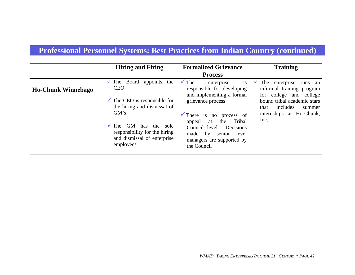## **Professional Personnel Systems: Best Practices from Indian Country (continued)**

|                           | <b>Hiring and Firing</b>                                                                                                                                   | <b>Formalized Grievance</b>                                                                                                                                                         | <b>Training</b>                                                                                                                  |
|---------------------------|------------------------------------------------------------------------------------------------------------------------------------------------------------|-------------------------------------------------------------------------------------------------------------------------------------------------------------------------------------|----------------------------------------------------------------------------------------------------------------------------------|
|                           |                                                                                                                                                            | <b>Process</b>                                                                                                                                                                      |                                                                                                                                  |
| <b>Ho-Chunk Winnebago</b> | Board<br>appoints the<br>$\checkmark$ The<br><b>CEO</b><br>$\checkmark$ The CEO is responsible for                                                         | $\checkmark$ The<br>is<br>enterprise<br>responsible for developing<br>and implementing a formal<br>grievance process                                                                | The<br>$\checkmark$<br>enterprise runs an<br>informal training program<br>for college and college<br>bound tribal academic stars |
|                           | the hiring and dismissal of<br>GM's<br>$\checkmark$ The<br>GM has<br>the sole<br>responsibility for the hiring<br>and dismissal of enterprise<br>employees | $\checkmark$ There is no<br>process of<br>Tribal<br>the<br>appeal<br>at<br>Council level.<br>Decisions<br>made<br>level<br>by<br>senior<br>managers are supported by<br>the Council | includes<br>that<br>summer<br>internships at Ho-Chunk,<br>Inc.                                                                   |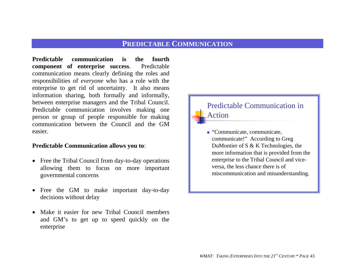#### **PREDICTABLE COMMUNICATION**

<span id="page-42-0"></span>**Predictable communication is the fourth component of enterprise success**. Predictable communication means clearly defining the roles and responsibilities of *everyone* who has a role with the enterprise to get rid of uncertainty. It also means information sharing, both formally and informally, between enterprise managers and the Tribal Council. Predictable communication involves making one person or group of people responsible for making communication between the Council and the GM easier.

#### **Predictable Communication allows you to**:

- Free the Tribal Council from day-to-day operations allowing them to focus on more important governmental concerns
- Free the GM to make important day-to-day decisions without delay
- Make it easier for new Tribal Council members and GM's to get up to speed quickly on the enterprise

## Predictable Communication in Action

**.** "Communicate, communicate, communicate!" According to Greg DuMontier of S & K Technologies, the more information that is provided from the enterprise to the Tribal Council and viceversa, the less chance there is of miscommunication and misunderstanding.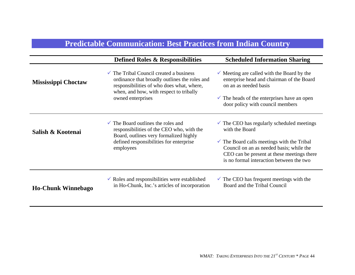# **Predictable Communication: Best Practices from Indian Country**

|                            | <b>Defined Roles &amp; Responsibilities</b>                                                                                                                                                                      | <b>Scheduled Information Sharing</b>                                                                                                                                                                                                                                   |
|----------------------------|------------------------------------------------------------------------------------------------------------------------------------------------------------------------------------------------------------------|------------------------------------------------------------------------------------------------------------------------------------------------------------------------------------------------------------------------------------------------------------------------|
| <b>Mississippi Choctaw</b> | $\checkmark$ The Tribal Council created a business<br>ordinance that broadly outlines the roles and<br>responsibilities of who does what, where,<br>when, and how, with respect to tribally<br>owned enterprises | $\checkmark$ Meeting are called with the Board by the<br>enterprise head and chairman of the Board<br>on an as needed basis<br>$\checkmark$ The heads of the enterprises have an open                                                                                  |
|                            |                                                                                                                                                                                                                  | door policy with council members                                                                                                                                                                                                                                       |
| Salish & Kootenai          | $\checkmark$ The Board outlines the roles and<br>responsibilities of the CEO who, with the<br>Board, outlines very formalized highly<br>defined responsibilities for enterprise<br>employees                     | $\checkmark$ The CEO has regularly scheduled meetings<br>with the Board<br>$\checkmark$ The Board calls meetings with the Tribal<br>Council on an as needed basis; while the<br>CEO can be present at these meetings there<br>is no formal interaction between the two |
| <b>Ho-Chunk Winnebago</b>  | $\checkmark$ Roles and responsibilities were established<br>in Ho-Chunk, Inc.'s articles of incorporation                                                                                                        | $\checkmark$ The CEO has frequent meetings with the<br>Board and the Tribal Council                                                                                                                                                                                    |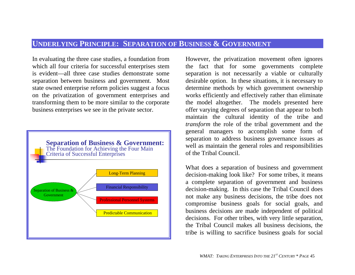#### <span id="page-44-0"></span>**UNDERLYING PRINCIPLE: SEPARATION OF BUSINESS & GOVERNMENT**

In evaluating the three case studies, a foundation from which all four criteria for successful enterprises stem is evident—all three case studies demonstrate someseparation between business and government. Most state owned enterprise reform policies suggest a focus on the privatization of government enterprises and transforming them to be more similar to the corporate business enterprises we see in the private sector.



However, the privatization movement often ignores the fact that for some governments complete separation is not necessarily a viable or culturally desirable option. In these situations, it is necessary to determine methods by which government ownership works efficiently and effectively rather than eliminate the model altogether. The models presented here offer varying degrees of separation that appear to both maintain the cultural identity of the tribe and *transform* the role of the tribal government and the general managers to accomplish some form of separation to address business governance issues as well as maintain the general roles and responsibilities of the Tribal Council.

What does a separation of business and government decision-making look like? For some tribes, it means a complete separation of government and business decision-making. In this case the Tribal Council does not make any business decisions, the tribe does not compromise business goals for social goals, and business decisions are made independent of political decisions. For other tribes, with very little separation, the Tribal Council makes all business decisions, the tribe is willing to sacrifice business goals for social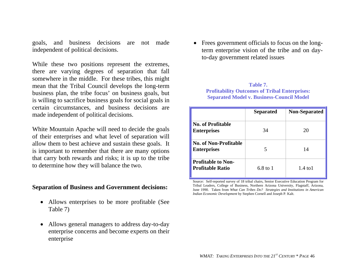goals, and business decisions are not m ade independent of political decisions.

While these two positions represent the extremes, there are varying degrees of separation that fall somewhere in the middle. For these tribes, this might mean that the Tribal Council develops the long-term business plan, the tribe focus' on business goals, but is willing to sacrifice business goals for social goals in certain circumstances, and business decisions are made independent of political decisions.

White Mountain Apache will need to decide the goals of their enterprises and what level of separation will allow them to best achieve and sustain these goals. It is important to rem e m ber that there are m any options that carry both rewards and risks; it is up to the tribe to determine how they will balance the two.

#### **Separation of Business and Government decisions:**

- Allows enterprises to be m ore profitable (See Table 7)
- Allows general m anagers to address day-to-day enterprise concerns and becom e experts on their enterprise

• Frees government officials to focus on the longterm enterprise vision of the tribe and on dayto-day governm ent related issues

#### **Table 7. Profitability Outcomes of Tribal Enterprises: Separated Model v. Business-Council Model**

|                                                      | <b>Separated</b> | <b>Non-Separated</b> |
|------------------------------------------------------|------------------|----------------------|
| <b>No. of Profitable</b><br><b>Enterprises</b>       | 34               | 20                   |
| <b>No. of Non-Profitable</b><br><b>Enterprises</b>   |                  | 14                   |
| <b>Profitable to Non-</b><br><b>Profitable Ratio</b> | 6.8 to 1         | $1.4 \text{ to } 1$  |

Source: Self-reported survey of 18 tribal chairs, Senior Executive Education Program for Tribal Leaders, College of Business, Northern Arizona University, Flagstaff, Arizona, June 1990. Taken from *What Can Tribes Do? Strategies and Institutions in American Indian Economic Development* by Stephen Cornell and Joseph P. Kalt.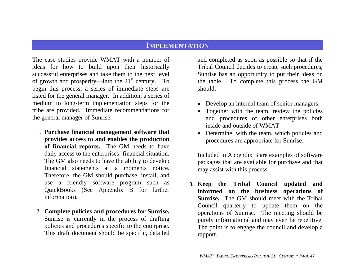#### **IMPLEMENTATION**

<span id="page-46-0"></span>The case studies provide WMAT with a number of ideas for how to build upon their historically successful enterprises and take them to the next level of growth and prosperity—into the  $21<sup>st</sup>$  century. To begin this process, a series of immediate steps are listed for the general manager. In addition, a series of medium to long-term implementation steps for the tribe are provided. Immediate recommendations for the general manager of Sunrise:

- 1. **Purchase financial management software that provides access to and enables the production of financial reports.** The GM needs to have daily access to the enterprises' financial situation. The GM also needs to have the ability to develop financial statements at a moments notice. Therefore, the GM should purchase, install, and use a friendly software program such as QuickBooks (See Appendix B for further information).
- 2. **Complete policies and procedures for Sunrise.** Sunrise is currently in the process of drafting policies and procedures specific to the enterprise. This draft document should be specific, detailed

and completed as soon as possible so that if the Tribal Council decides to create such procedures, Sunrise has an opportunity to put their ideas on the table. To complete this process the GM should:

- Develop an internal team of senior managers.
- Together with the team, review the policies and procedures of other enterprises both inside and outside of WMAT
- Determine, with the team, which policies and procedures are appropriate for Sunrise.

Included in Appendix B are examples of software packages that are available for purchase and that may assist with this process.

**3. Keep the Tribal Council updated and informed on the business operations of Sunrise.** The GM should meet with the Tribal Council quarterly to update them on the operations of Sunrise. The meeting should be purely informational and may even be repetitive. The point is to engage the council and develop a rapport.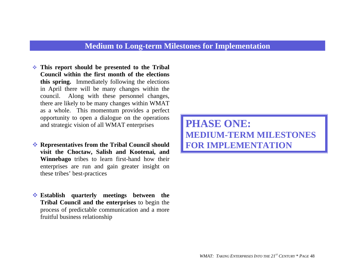## **Medium to Long-term Milestones for Implementation**

- **This report should be presented to the Tribal Council within the first month of the elections this spring.** Immediately following the elections in April there will be m any changes within the council. Along with these personnel changes, there are likely to be many changes within WMAT as a whole. This momentum provides a perfect opportunity to open a dialogue on the operations and strategic vision of all WMAT enterprises
- "**Representatives from the Tribal Council should visit the Choctaw, Salish and Kootenai, and Winnebago** tribes to learn first-hand how their enterprises are run and gain greater insight on these tribes' best-practices
- **Establish quarterly meetings between the Tribal Council and the enterprises** to begin the process of predictable com munication and a m ore fruitful business relationship

**PHASE ONE: MEDIUM-TERM MILESTONES FOR IMPLEMENTATION**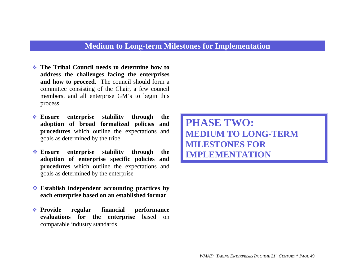## **Medium to Long-term Milestones for Implementation**

- "**The Tribal Council needs to determine how to address the challenges facing the enterprises and how to proceed.** The council should form a com mittee consisting of the Chair, a few council members, and all enterprise GM's to begin this process
- " **Ensure enterprise stability through the adoption of broad formalized policies and procedures** which outline the expectations and goals as determined by the tribe
- " **Ensure enterprise stability through the adoption of enterprise specific policies and procedures** which outline the expectations and goals as determined by the enterprise
- $\diamond$  **Establish independent accounting practices by each enterprise based on an established format**
- **Exercide** → **Provide regular financial performance evaluations for the enterprise** based on com parable industry standards

**PHASE TWO: MEDIUM TO LONG-TERM MILESTONES FOR IMPLEMENTATION**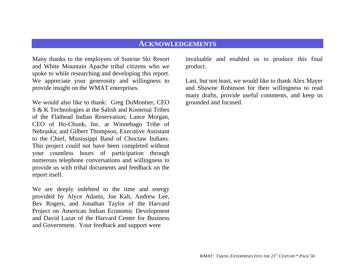#### **ACKNOWLEDGEMENTS**

<span id="page-49-0"></span>Many thanks to the employees of Sunrise Ski Resort and White Mountain Apache tribal citizens who we spoke to while researching and developing this report. We appreciate your generosity and willingness to provide insight on the WMAT enterprises.

We would also like to thank: Greg DuMontier, CEO S & K Technologies at the Salish and Kootenai Tribes of the Flathead Indian Reservation; Lance Morgan, CEO of Ho-Chunk, Inc. at Winnebago Tribe of Nebraska; and Gilbert Thompson, Executive Assistant to the Chief, Mississippi Band of Choctaw Indians. This project could not have been completed without your countless hours of participation through numerous telephone conversations and willingness to provide us with tribal documents and feedback on the report itself.

We are deeply indebted to the time and energy provided by Alyce Adams, Joe Kalt, Andrew Lee, Bev Rogers, and Jonathan Taylor of the Harvard Project on American Indian Economic Development and David Lazar of the Harvard Center for Business and Government. Your feedback and support were

invaluable and enabled us to produce this final product.

Last, but not least, we would like to thank Alex Mayer and Shawne Robinson for their willingness to read many drafts, provide useful comments, and keep us grounded and focused.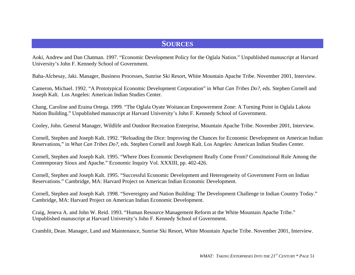## **SOURCES**

<span id="page-50-0"></span>Aoki, Andrew and Dan Chatman. 1997. "Economic Development Policy for the Oglala Nation." Unpublished manuscript at Harvard University's John F. Kennedy School of Government.

Baha-Alchesay, Jaki. Manager, Business Processes, Sunrise Ski Resort, White Mountain Apache Tribe. November 2001, Interview.

Cameron, Michael. 1992. "A Prototypical Economic Development Corporation" in *What Can Tribes Do?,* eds. Stephen Cornell and Joseph Kalt. Los Angeles: American Indian Studies Center.

Chang, Caroline and Eraina Ortega. 1999. "The Oglala Oyate Woitancan Empowerment Zone: A Turning Point in Oglala Lakota Nation Building." Unpublished manuscript at Harvard University's John F. Kennedy School of Government.

Cooley, John. General Manager, Wildlife and Outdoor Recreation Enterprise, Mountain Apache Tribe. November 2001, Interview.

Cornell, Stephen and Joseph Kalt. 1992. "Reloading the Dice: Improving the Chances for Economic Development on American Indian Reservations," in *What Can Tribes Do?*, eds. Stephen Cornell and Joseph Kalt. Los Angeles: American Indian Studies Center.

Cornell, Stephen and Joseph Kalt. 1995. "Where Does Economic Development Really Come From? Constitutional Rule Among the Contemporary Sioux and Apache." Economic Inquiry Vol. XXXIII, pp. 402-426.

Cornell, Stephen and Joseph Kalt. 1995. "Successful Economic Development and Heterogeneity of Government Form on Indian Reservations." Cambridge, MA: Harvard Project on American Indian Economic Development.

Cornell, Stephen and Joseph Kalt. 1998. "Sovereignty and Nation Building: The Development Challenge in Indian Country Today." Cambridge, MA: Harvard Project on American Indian Economic Development.

Craig, Jeneva A. and John W. Reid. 1993. "Human Resource Management Reform at the White Mountain Apache Tribe." Unpublished manuscript at Harvard University's John F. Kennedy School of Government.

Cramblit, Dean. Manager, Land and Maintenance, Sunrise Ski Resort, White Mountain Apache Tribe. November 2001, Interview.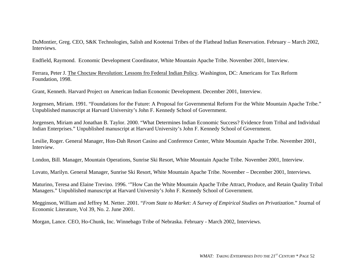DuMontier, Greg. CEO, S&K Technologies, Salish and Kootenai Tribes of the Flathead Indian Reservation. February – March 2002, Interviews.

Endfield, Raymond. Economic Development Coordinator, W hite Mountain Apache Tribe. November 2001, Interview.

Ferrara, Peter J. <u>The Choctaw Revolution: Lessons fro Federal Indian Policy</u>. Washington, DC: Americans for Tax Reform Foundation, 1998.

Grant, Kenneth. Harvard Project on American Indian Economic Development. December 2001, Interview.

Jorgensen, Miriam. 1991. "Foundations for the Future: A Proposal for Governm ental Reform For the White Mountain Apache Tribe." Unpublished m anuscript at Harvard University's John F. Kennedy School of Governm ent.

Jorgensen, Miriam and Jonathan B. Taylor. 2000. "What Determines Indian Economic Success? Evidence from Tribal and Individual Indian Enterprises." Unpublished m anuscript at Harvard University's John F. Kennedy School of Governm ent.

Lesilie, Roger. General Manager, Hon-Dah Resort Casino and Conference Center, W hite Mountain Apache Tribe. November 2001, Interview.

London, Bill. Manager, Mountain Operations, Sunrise Ski Resort, W hite Mountain Apache Tribe. November 2001, Interview.

Lovato, Marilyn. General Manager, Sunrise Ski Resort, W hite Mountain Apache Tribe. November – December 2001, Interviews.

Maturino, Teresa and Elaine Trevino. 1996. '"How Can the White Mountain Apache Tribe Attract, Produce, and Retain Quality Tribal Managers." Unpublished manuscript at Harvard University's John F. Kennedy School of Government.

Megginson, William and Jeffrey M. Netter. 2001. "*From State to Market: A Survey of Empirical Studies on Privatization*." Journal of Economic Literature, Vol 39, No. 2. June 2001.

Morgan, Lance. CEO, Ho-Chunk, Inc. Winnebago Tribe of Nebraska. February - March 2002, Interviews.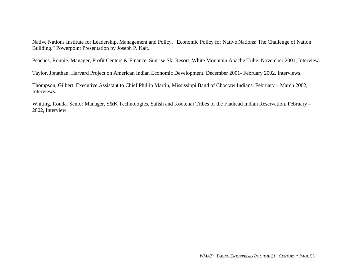Native Nations Institute for Leadership, Management and Policy. "Economic Policy for Native Nations: The Challenge of Nation Building." Powerpoint Presentation by Joseph P. Kalt.

Peaches, Ronnie. Manager, Profit Centers & Finance, Sunrise Ski Resort, White Mountain Apache Tribe. November 2001, Interview.

Taylor, Jonathan. Harvard Project on American Indian Economic Development. December 2001- February 2002, Interviews.

Thompson, Gilbert. Executive Assistant to Chief Phillip Martin, Mississippi Band of Choctaw Indians. February – March 2002, Interviews.

Whiting, Ronda. Senior Manager, S&K Technologies, Salish and Kootenai Tribes of the Flathead Indian Reservation. February – 2002, Interview.